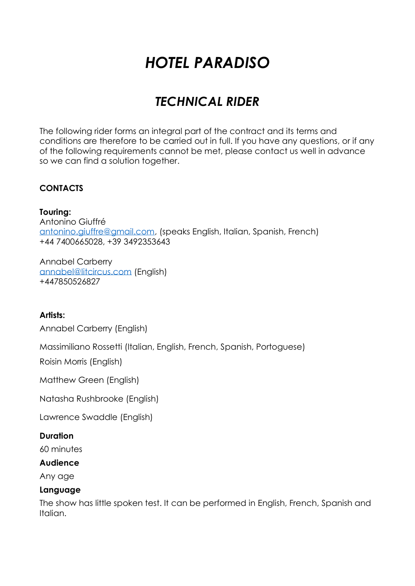# *HOTEL PARADISO*

## *TECHNICAL RIDER*

The following rider forms an integral part of the contract and its terms and conditions are therefore to be carried out in full. If you have any questions, or if any of the following requirements cannot be met, please contact us well in advance so we can find a solution together.

## **CONTACTS**

**Touring:**  Antonino Giuffré [antonino.giuffre@gmail.com,](mailto:antonino.giuffre@gmail.com) (speaks English, Italian, Spanish, French) +44 7400665028, +39 3492353643

Annabel Carberry [annabel@litcircus.com](mailto:annabel@litcircus.com) (English) +447850526827

## **Artists:**

Annabel Carberry (English)

Massimiliano Rossetti (Italian, English, French, Spanish, Portoguese)

Roisin Morris (English)

Matthew Green (English)

Natasha Rushbrooke (English)

Lawrence Swaddle (English)

## **Duration**

60 minutes

## **Audience**

Any age

## **Language**

The show has little spoken test. It can be performed in English, French, Spanish and Italian.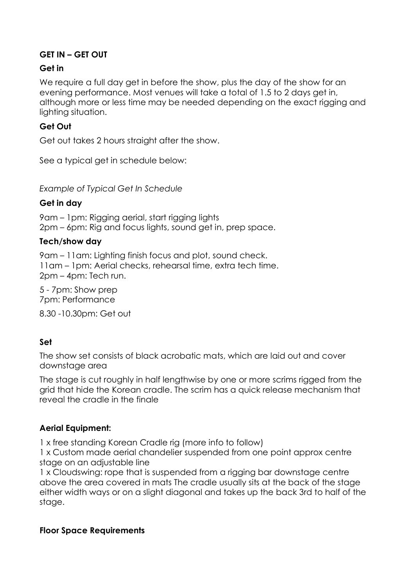## **GET IN – GET OUT**

## **Get in**

We require a full day get in before the show, plus the day of the show for an evening performance. Most venues will take a total of 1.5 to 2 days get in, although more or less time may be needed depending on the exact rigging and lighting situation.

## **Get Out**

Get out takes 2 hours straight after the show.

See a typical get in schedule below:

*Example of Typical Get In Schedule* 

## **Get in day**

9am – 1pm: Rigging aerial, start rigging lights 2pm – 6pm: Rig and focus lights, sound get in, prep space.

## **Tech/show day**

9am – 11am: Lighting finish focus and plot, sound check. 11am – 1pm: Aerial checks, rehearsal time, extra tech time. 2pm – 4pm: Tech run.

5 - 7pm: Show prep 7pm: Performance

8.30 -10.30pm: Get out

## **Set**

The show set consists of black acrobatic mats, which are laid out and cover downstage area

The stage is cut roughly in half lengthwise by one or more scrims rigged from the grid that hide the Korean cradle. The scrim has a quick release mechanism that reveal the cradle in the finale

## **Aerial Equipment:**

1 x free standing Korean Cradle rig (more info to follow)

1 x Custom made aerial chandelier suspended from one point approx centre stage on an adjustable line

1 x Cloudswing: rope that is suspended from a rigging bar downstage centre above the area covered in mats The cradle usually sits at the back of the stage either width ways or on a slight diagonal and takes up the back 3rd to half of the stage.

## **Floor Space Requirements**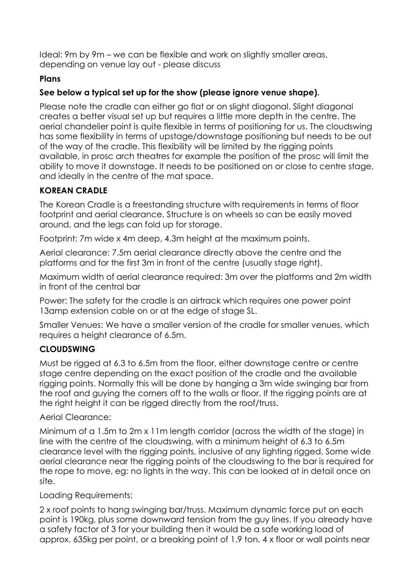Ideal: 9m by 9m – we can be flexible and work on slightly smaller areas, depending on venue lay out - please discuss

## **Plans**

## **See below a typical set up for the show (please ignore venue shape).**

Please note the cradle can either go flat or on slight diagonal. Slight diagonal creates a better visual set up but requires a little more depth in the centre. The aerial chandelier point is quite flexible in terms of positioning for us. The cloudswing has some flexibility in terms of upstage/downstage positioning but needs to be out of the way of the cradle. This flexibility will be limited by the rigging points available, in prosc arch theatres for example the position of the prosc will limit the ability to move it downstage. It needs to be positioned on or close to centre stage, and ideally in the centre of the mat space.

## **KOREAN CRADLE**

The Korean Cradle is a freestanding structure with requirements in terms of floor footprint and aerial clearance. Structure is on wheels so can be easily moved around, and the legs can fold up for storage.

Footprint: 7m wide x 4m deep, 4.3m height at the maximum points.

Aerial clearance: 7.5m aerial clearance directly above the centre and the platforms and for the first 3m in front of the centre (usually stage right).

Maximum width of aerial clearance required: 3m over the platforms and 2m width in front of the central bar

Power: The safety for the cradle is an airtrack which requires one power point 13amp extension cable on or at the edge of stage SL.

Smaller Venues: We have a smaller version of the cradle for smaller venues, which requires a height clearance of 6.5m.

## **CLOUDSWING**

Must be rigged at 6.3 to 6.5m from the floor, either downstage centre or centre stage centre depending on the exact position of the cradle and the available rigging points. Normally this will be done by hanging a 3m wide swinging bar from the roof and guying the corners off to the walls or floor. If the rigging points are at the right height it can be rigged directly from the roof/truss.

## Aerial Clearance:

Minimum of a 1.5m to 2m x 11m length corridor (across the width of the stage) in line with the centre of the cloudswing, with a minimum height of 6.3 to 6.5m clearance level with the rigging points, inclusive of any lighting rigged. Some wide aerial clearance near the rigging points of the cloudswing to the bar is required for the rope to move, eg: no lights in the way. This can be looked at in detail once on site.

Loading Requirements:

2 x roof points to hang swinging bar/truss. Maximum dynamic force put on each point is 190kg, plus some downward tension from the guy lines. If you already have a safety factor of 3 for your building then it would be a safe working load of approx. 635kg per point, or a breaking point of 1.9 ton. 4 x floor or wall points near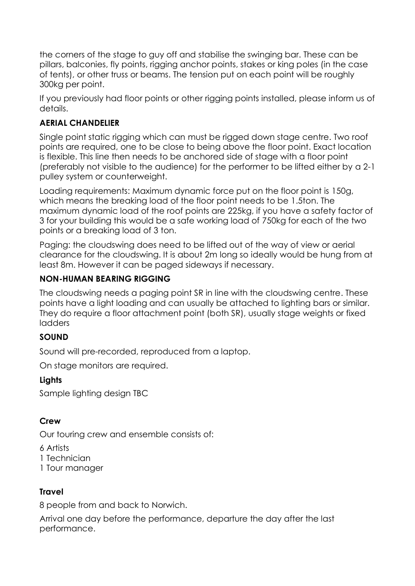the corners of the stage to guy off and stabilise the swinging bar. These can be pillars, balconies, fly points, rigging anchor points, stakes or king poles (in the case of tents), or other truss or beams. The tension put on each point will be roughly 300kg per point.

If you previously had floor points or other rigging points installed, please inform us of details.

## **AERIAL CHANDELIER**

Single point static rigging which can must be rigged down stage centre. Two roof points are required, one to be close to being above the floor point. Exact location is flexible. This line then needs to be anchored side of stage with a floor point (preferably not visible to the audience) for the performer to be lifted either by a 2-1 pulley system or counterweight.

Loading requirements: Maximum dynamic force put on the floor point is 150g, which means the breaking load of the floor point needs to be 1.5ton. The maximum dynamic load of the roof points are 225kg, if you have a safety factor of 3 for your building this would be a safe working load of 750kg for each of the two points or a breaking load of 3 ton.

Paging: the cloudswing does need to be lifted out of the way of view or aerial clearance for the cloudswing. It is about 2m long so ideally would be hung from at least 8m. However it can be paged sideways if necessary.

## **NON-HUMAN BEARING RIGGING**

The cloudswing needs a paging point SR in line with the cloudswing centre. These points have a light loading and can usually be attached to lighting bars or similar. They do require a floor attachment point (both SR), usually stage weights or fixed ladders

## **SOUND**

Sound will pre-recorded, reproduced from a laptop.

On stage monitors are required.

## **Lights**

Sample lighting design TBC

## **Crew**

Our touring crew and ensemble consists of:

- 6 Artists
- 1 Technician
- 1 Tour manager

## **Travel**

8 people from and back to Norwich.

Arrival one day before the performance, departure the day after the last performance.